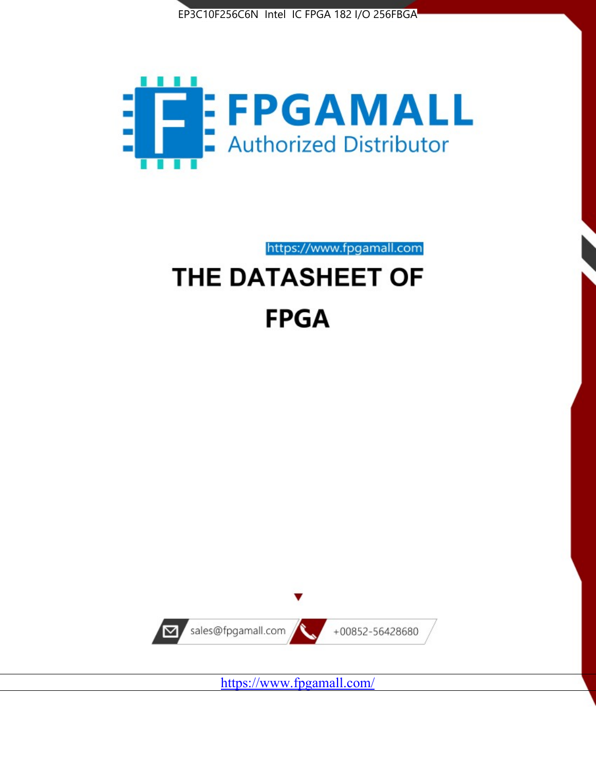



https://www.fpgamall.com

# THE DATASHEET OF **FPGA**



<https://www.fpgamall.com/>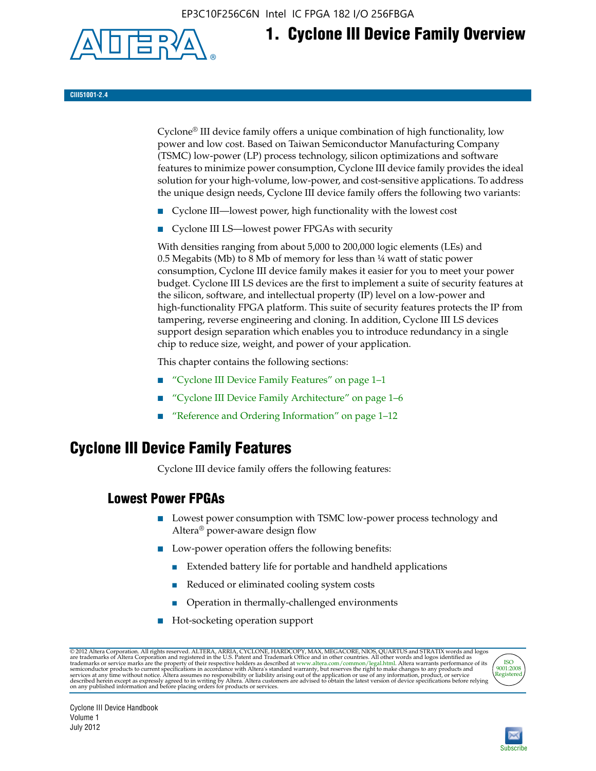EP3C10F256C6N Intel IC FPGA 182 I/O 256FBGA



# **1. Cyclone III Device Family Overview**

#### **CIII51001-2.4**

Cyclone® III device family offers a unique combination of high functionality, low power and low cost. Based on Taiwan Semiconductor Manufacturing Company (TSMC) low-power (LP) process technology, silicon optimizations and software features to minimize power consumption, Cyclone III device family provides the ideal solution for your high-volume, low-power, and cost-sensitive applications. To address the unique design needs, Cyclone III device family offers the following two variants:

- Cyclone III—lowest power, high functionality with the lowest cost
- Cyclone III LS—lowest power FPGAs with security

With densities ranging from about 5,000 to 200,000 logic elements (LEs) and 0.5 Megabits (Mb) to 8 Mb of memory for less than  $\frac{1}{4}$  watt of static power consumption, Cyclone III device family makes it easier for you to meet your power budget. Cyclone III LS devices are the first to implement a suite of security features at the silicon, software, and intellectual property (IP) level on a low-power and high-functionality FPGA platform. This suite of security features protects the IP from tampering, reverse engineering and cloning. In addition, Cyclone III LS devices support design separation which enables you to introduce redundancy in a single chip to reduce size, weight, and power of your application.

This chapter contains the following sections:

- "Cyclone III Device Family Features" on page 1–1
- "Cyclone III Device Family Architecture" on page 1–6
- "Reference and Ordering Information" on page 1–12

# **Cyclone III Device Family Features**

Cyclone III device family offers the following features:

#### **Lowest Power FPGAs**

- Lowest power consumption with TSMC low-power process technology and Altera® power-aware design flow
- Low-power operation offers the following benefits:
	- Extended battery life for portable and handheld applications
	- Reduced or eliminated cooling system costs
	- Operation in thermally-challenged environments
- Hot-socketing operation support

@ 2012 Altera Corporation. All rights reserved. ALTERA, ARRIA, CYCLONE, HARDCOPY, MAX, MEGACORE, NIOS, QUARTUS and STRATIX words and logos are trademarks of Altera Corporation and registered in the U.S. Patent and Trademar



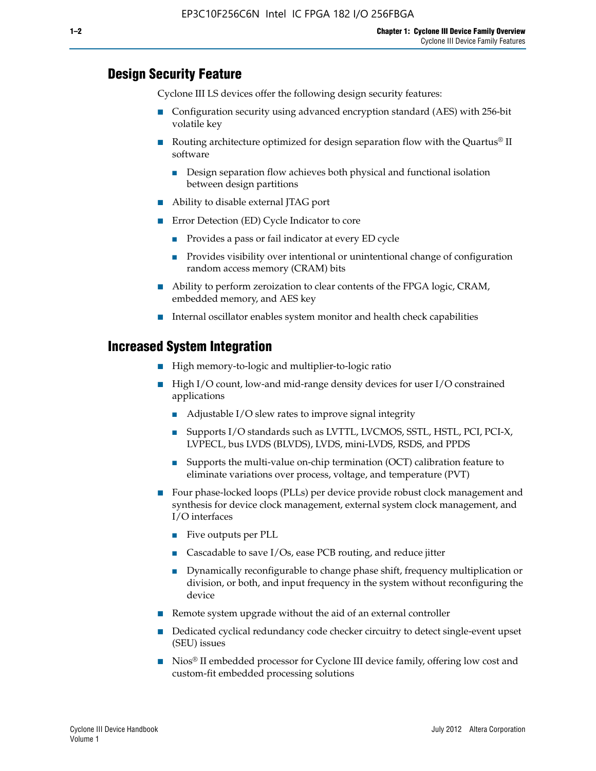### **Design Security Feature**

Cyclone III LS devices offer the following design security features:

- Configuration security using advanced encryption standard (AES) with 256-bit volatile key
- **■** Routing architecture optimized for design separation flow with the Quartus<sup>®</sup> II software
	- Design separation flow achieves both physical and functional isolation between design partitions
- Ability to disable external JTAG port
- Error Detection (ED) Cycle Indicator to core
	- Provides a pass or fail indicator at every ED cycle
	- Provides visibility over intentional or unintentional change of configuration random access memory (CRAM) bits
- Ability to perform zeroization to clear contents of the FPGA logic, CRAM, embedded memory, and AES key
- Internal oscillator enables system monitor and health check capabilities

#### **Increased System Integration**

- High memory-to-logic and multiplier-to-logic ratio
- High I/O count, low-and mid-range density devices for user I/O constrained applications
	- Adjustable I/O slew rates to improve signal integrity
	- Supports I/O standards such as LVTTL, LVCMOS, SSTL, HSTL, PCI, PCI-X, LVPECL, bus LVDS (BLVDS), LVDS, mini-LVDS, RSDS, and PPDS
	- Supports the multi-value on-chip termination (OCT) calibration feature to eliminate variations over process, voltage, and temperature (PVT)
- Four phase-locked loops (PLLs) per device provide robust clock management and synthesis for device clock management, external system clock management, and I/O interfaces
	- Five outputs per PLL
	- Cascadable to save I/Os, ease PCB routing, and reduce jitter
	- Dynamically reconfigurable to change phase shift, frequency multiplication or division, or both, and input frequency in the system without reconfiguring the device
- Remote system upgrade without the aid of an external controller
- Dedicated cyclical redundancy code checker circuitry to detect single-event upset (SEU) issues
- Nios<sup>®</sup> II embedded processor for Cyclone III device family, offering low cost and custom-fit embedded processing solutions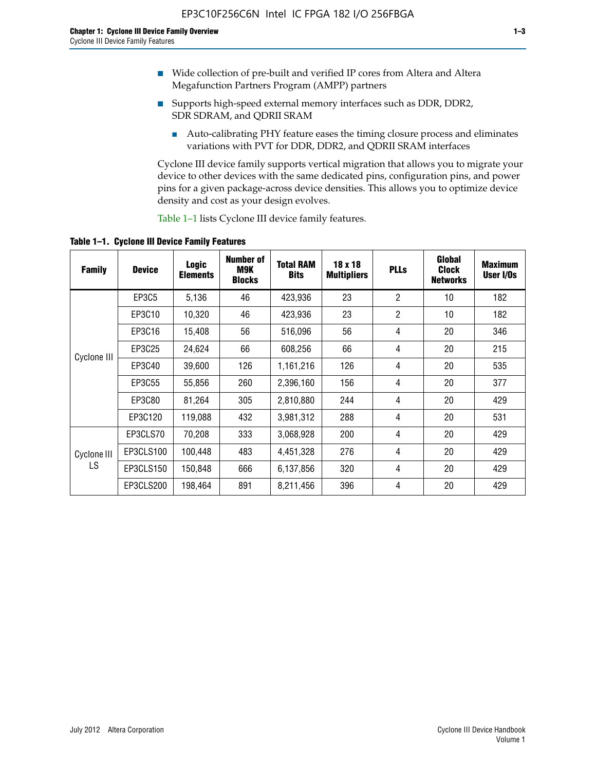- Wide collection of pre-built and verified IP cores from Altera and Altera Megafunction Partners Program (AMPP) partners
- Supports high-speed external memory interfaces such as DDR, DDR2, SDR SDRAM, and QDRII SRAM
	- Auto-calibrating PHY feature eases the timing closure process and eliminates variations with PVT for DDR, DDR2, and QDRII SRAM interfaces

Cyclone III device family supports vertical migration that allows you to migrate your device to other devices with the same dedicated pins, configuration pins, and power pins for a given package-across device densities. This allows you to optimize device density and cost as your design evolves.

Table 1–1 lists Cyclone III device family features.

**Table 1–1. Cyclone III Device Family Features**

| <b>Family</b>     | <b>Device</b> | Logic<br><b>Elements</b> | <b>Number of</b><br>M9K<br><b>Blocks</b> | <b>Total RAM</b><br><b>Bits</b> | 18 x 18<br><b>Multipliers</b> | <b>PLLs</b>    | Global<br><b>Clock</b><br><b>Networks</b> | <b>Maximum</b><br>User I/Os |
|-------------------|---------------|--------------------------|------------------------------------------|---------------------------------|-------------------------------|----------------|-------------------------------------------|-----------------------------|
|                   | EP3C5         | 5,136                    | 46                                       | 423,936                         | 23                            | $\overline{2}$ | 10                                        | 182                         |
| Cyclone III       | EP3C10        | 10,320                   | 46                                       | 423,936                         | 23                            | $\overline{2}$ | 10                                        | 182                         |
|                   | EP3C16        | 15,408                   | 56                                       | 516,096                         | 56                            | 4              | 20                                        | 346                         |
|                   | EP3C25        | 24,624                   | 66                                       | 608,256                         | 66                            | 4              | 20                                        | 215                         |
|                   | EP3C40        | 39,600                   | 126                                      | 1,161,216                       | 126                           | 4              | 20                                        | 535                         |
|                   | EP3C55        | 55,856                   | 260                                      | 2,396,160                       | 156                           | 4              | 20                                        | 377                         |
|                   | EP3C80        | 81,264                   | 305                                      | 2,810,880                       | 244                           | 4              | 20                                        | 429                         |
|                   | EP3C120       | 119,088                  | 432                                      | 3,981,312                       | 288                           | 4              | 20                                        | 531                         |
|                   | EP3CLS70      | 70,208                   | 333                                      | 3,068,928                       | 200                           | 4              | 20                                        | 429                         |
| Cyclone III<br>LS | EP3CLS100     | 100,448                  | 483                                      | 4,451,328                       | 276                           | 4              | 20                                        | 429                         |
|                   | EP3CLS150     | 150,848                  | 666                                      | 6,137,856                       | 320                           | 4              | 20                                        | 429                         |
|                   | EP3CLS200     | 198,464                  | 891                                      | 8,211,456                       | 396                           | 4              | 20                                        | 429                         |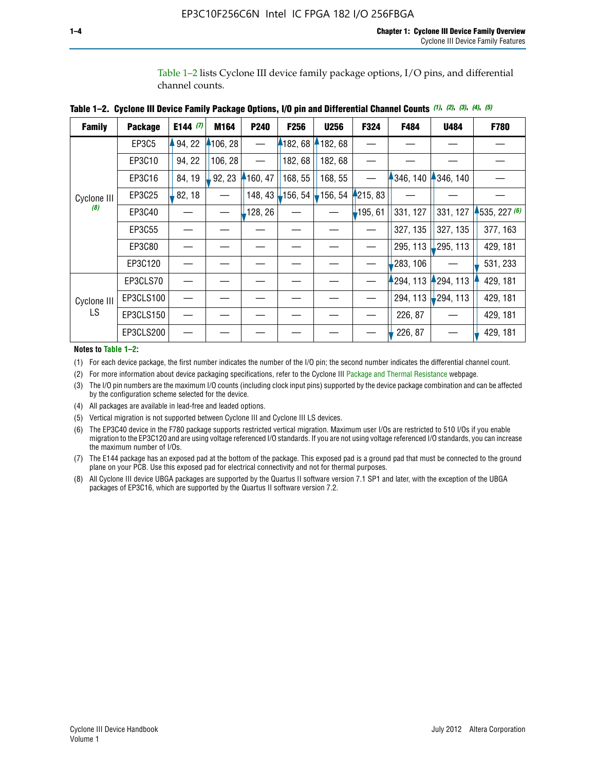Table 1–2 lists Cyclone III device family package options, I/O pins, and differential channel counts.

| <b>Family</b>      | <b>Package</b> | E144 $(7)$ | M164     | P240       | <b>F256</b>      | <b>U256</b> | F324       | F484     | U484        | F780         |
|--------------------|----------------|------------|----------|------------|------------------|-------------|------------|----------|-------------|--------------|
|                    | EP3C5          | 94, 22     | 4106, 28 |            | 182,68           | 182, 68     |            |          |             |              |
|                    | EP3C10         | 94, 22     | 106, 28  |            | 182, 68          | 182,68      |            |          |             |              |
|                    | EP3C16         | 84, 19     | 92, 23   | $-160, 47$ | 168, 55          | 168, 55     |            | 346, 140 | 4346, 140   |              |
| Cyclone III        | EP3C25         | 82, 18     |          | 148, 43    | $\vert$ -156, 54 | 156, 54     | 4215, 83   |          |             |              |
| (8)                | EP3C40         |            |          | 128, 26    |                  |             | $-195, 61$ | 331, 127 | 331, 127    | 4535, 227(6) |
|                    | EP3C55         |            |          |            |                  |             |            | 327, 135 | 327, 135    | 377, 163     |
|                    | EP3C80         |            |          |            |                  |             |            | 295, 113 | ,295, 113   | 429, 181     |
|                    | EP3C120        |            |          |            |                  |             |            | 283, 106 |             | 531, 233     |
|                    | EP3CLS70       |            |          |            |                  |             |            | 294, 113 | 294, 113    | 429, 181     |
| Cyclone III<br>LS. | EP3CLS100      |            |          |            |                  |             |            | 294, 113 | $-294, 113$ | 429, 181     |
|                    | EP3CLS150      |            |          |            |                  |             |            | 226, 87  |             | 429, 181     |
|                    | EP3CLS200      |            |          |            |                  |             |            | 226, 87  |             | 429, 181     |

**Table 1–2. Cyclone III Device Family Package Options, I/O pin and Differential Channel Counts** *(1)***,** *(2)***,** *(3)***,** *(4)***,** *(5)*

**Notes to Table 1–2:**

(1) For each device package, the first number indicates the number of the I/O pin; the second number indicates the differential channel count.

(2) For more information about device packaging specifications, refer to the Cyclone III [Package and Thermal Resistance](http://www.altera.com/support/devices/packaging/specifications/pkg-pin/dev-package-listing.jsp?device=Cyclone_III) webpage.

(3) The I/O pin numbers are the maximum I/O counts (including clock input pins) supported by the device package combination and can be affected by the configuration scheme selected for the device.

(4) All packages are available in lead-free and leaded options.

(5) Vertical migration is not supported between Cyclone III and Cyclone III LS devices.

(6) The EP3C40 device in the F780 package supports restricted vertical migration. Maximum user I/Os are restricted to 510 I/Os if you enable migration to the EP3C120 and are using voltage referenced I/O standards. If you are not using voltage referenced I/O standards, you can increase the maximum number of I/Os.

(7) The E144 package has an exposed pad at the bottom of the package. This exposed pad is a ground pad that must be connected to the ground plane on your PCB. Use this exposed pad for electrical connectivity and not for thermal purposes.

(8) All Cyclone III device UBGA packages are supported by the Quartus II software version 7.1 SP1 and later, with the exception of the UBGA packages of EP3C16, which are supported by the Quartus II software version 7.2.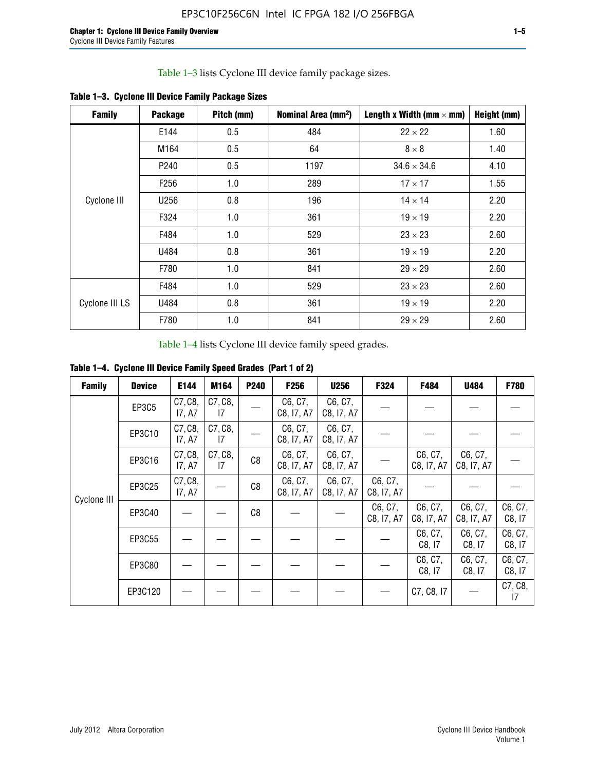Table 1–3 lists Cyclone III device family package sizes.

| <b>Family</b>  | <b>Package</b>   | Pitch (mm) | Nominal Area (mm <sup>2</sup> ) | Length x Width (mm $\times$ mm) | Height (mm) |
|----------------|------------------|------------|---------------------------------|---------------------------------|-------------|
|                | E144             | 0.5        | 484                             | $22 \times 22$                  | 1.60        |
|                | M164             | 0.5        | 64                              | $8 \times 8$                    | 1.40        |
|                | P <sub>240</sub> | 0.5        | 1197                            | $34.6 \times 34.6$              | 4.10        |
|                | F <sub>256</sub> | 1.0        | 289                             | $17 \times 17$                  | 1.55        |
| Cyclone III    | U256             | 0.8        | 196                             | $14 \times 14$                  | 2.20        |
|                | F324             | 1.0        | 361                             | $19 \times 19$                  | 2.20        |
|                | F484             | 1.0        | 529                             | $23 \times 23$                  | 2.60        |
|                | U484             | 0.8        | 361                             | $19 \times 19$                  | 2.20        |
|                | F780             | 1.0        | 841                             | $29 \times 29$                  | 2.60        |
|                | F484             | 1.0        | 529                             | $23 \times 23$                  | 2.60        |
| Cyclone III LS | U484             | 0.8        | 361                             | $19 \times 19$                  | 2.20        |
|                | F780             | 1.0        | 841                             | $29 \times 29$                  | 2.60        |

**Table 1–3. Cyclone III Device Family Package Sizes**

Table 1–4 lists Cyclone III device family speed grades.

**Table 1–4. Cyclone III Device Family Speed Grades (Part 1 of 2)**

| <b>Family</b> | <b>Device</b> | E144              | M164          | <b>P240</b> | F <sub>256</sub>      | <b>U256</b>           | F324                  | F484                  | U484                  | <b>F780</b>       |
|---------------|---------------|-------------------|---------------|-------------|-----------------------|-----------------------|-----------------------|-----------------------|-----------------------|-------------------|
| Cyclone III   | <b>EP3C5</b>  | C7, C8,<br>17, A7 | C7, C8,<br>17 |             | C6, C7,<br>C8, I7, A7 | C6, C7,<br>C8, I7, A7 |                       |                       |                       |                   |
|               | EP3C10        | C7, C8,<br>17, A7 | C7, C8,<br>17 |             | C6, C7,<br>C8, I7, A7 | C6, C7,<br>C8, I7, A7 |                       |                       |                       |                   |
|               | EP3C16        | C7, C8,<br>17, A7 | C7, C8,<br>17 | C8          | C6, C7,<br>C8, I7, A7 | C6, C7,<br>C8, I7, A7 |                       | C6, C7,<br>C8, I7, A7 | C6, C7,<br>C8, I7, A7 |                   |
|               | EP3C25        | C7, C8,<br>17, A7 |               | C8          | C6, C7,<br>C8, I7, A7 | C6, C7,<br>C8, I7, A7 | C6, C7,<br>C8, I7, A7 |                       |                       |                   |
|               | EP3C40        |                   |               | C8          |                       |                       | C6, C7,<br>C8, I7, A7 | C6, C7,<br>C8, I7, A7 | C6, C7,<br>C8, I7, A7 | C6, C7,<br>C8, 17 |
|               | EP3C55        |                   |               |             |                       |                       |                       | C6, C7,<br>C8, 17     | C6, C7,<br>C8, 17     | C6, C7,<br>C8, 17 |
|               | EP3C80        |                   |               |             |                       |                       |                       | C6, C7,<br>C8, 17     | C6, C7,<br>C8, 17     | C6, C7,<br>C8, 17 |
|               | EP3C120       |                   |               |             |                       |                       |                       | C7, C8, I7            |                       | C7, C8,<br>17     |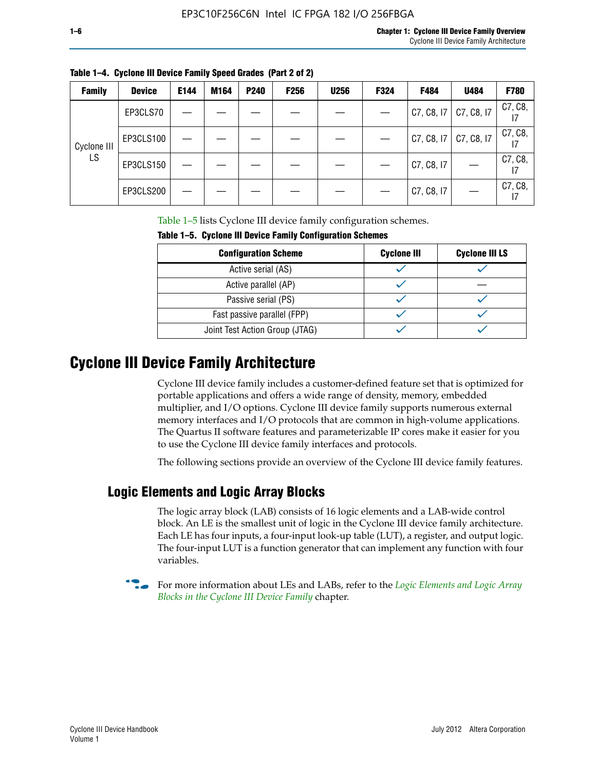| <b>Family</b> | <b>Device</b> | E144 | M164 | <b>P240</b> | <b>F256</b> | <b>U256</b> | F324 | F484       | U484       | F780    |
|---------------|---------------|------|------|-------------|-------------|-------------|------|------------|------------|---------|
| Cyclone III   | EP3CLS70      |      |      |             |             |             |      | C7, C8, 17 | C7, C8, I7 | C7, C8, |
|               | EP3CLS100     |      |      |             |             |             |      | C7, C8, 17 | C7, C8, I7 | C7, C8, |
| LS            | EP3CLS150     |      |      |             |             |             |      | C7, C8, I7 |            | C7, C8, |
|               | EP3CLS200     |      |      |             |             |             |      | C7, C8, I7 |            | C7, C8, |

**Table 1–4. Cyclone III Device Family Speed Grades (Part 2 of 2)**

Table 1–5 lists Cyclone III device family configuration schemes.

| <b>IQUIE 1-3. CYCLUILE III DEVICE FAILIIV CUILILUILATION SCIIENIES</b> |                    |                       |  |  |
|------------------------------------------------------------------------|--------------------|-----------------------|--|--|
| <b>Configuration Scheme</b>                                            | <b>Cyclone III</b> | <b>Cyclone III LS</b> |  |  |
| Active serial (AS)                                                     |                    |                       |  |  |
| Active parallel (AP)                                                   |                    |                       |  |  |
| Passive serial (PS)                                                    |                    |                       |  |  |
| Fast passive parallel (FPP)                                            |                    |                       |  |  |
| Joint Test Action Group (JTAG)                                         |                    |                       |  |  |

**Table 1–5. Cyclone III Device Family Configuration Schemes**

# **Cyclone III Device Family Architecture**

Cyclone III device family includes a customer-defined feature set that is optimized for portable applications and offers a wide range of density, memory, embedded multiplier, and I/O options. Cyclone III device family supports numerous external memory interfaces and I/O protocols that are common in high-volume applications. The Quartus II software features and parameterizable IP cores make it easier for you to use the Cyclone III device family interfaces and protocols.

The following sections provide an overview of the Cyclone III device family features.

## **Logic Elements and Logic Array Blocks**

The logic array block (LAB) consists of 16 logic elements and a LAB-wide control block. An LE is the smallest unit of logic in the Cyclone III device family architecture. Each LE has four inputs, a four-input look-up table (LUT), a register, and output logic. The four-input LUT is a function generator that can implement any function with four variables.

f For more information about LEs and LABs, refer to the *[Logic Elements and Logic Array](http://www.altera.com/literature/hb/cyc3/cyc3_ciii51002.pdf)  [Blocks in the Cyclone III Device Family](http://www.altera.com/literature/hb/cyc3/cyc3_ciii51002.pdf)* chapter.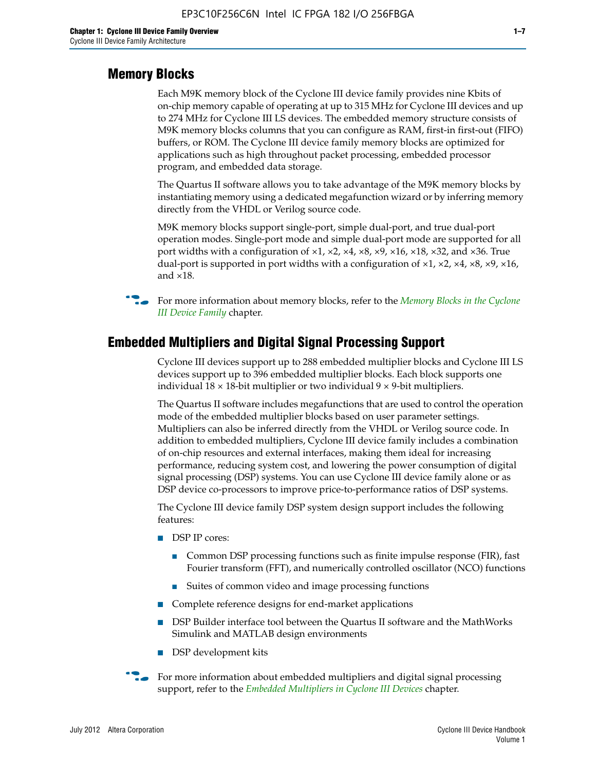#### **Memory Blocks**

Each M9K memory block of the Cyclone III device family provides nine Kbits of on-chip memory capable of operating at up to 315 MHz for Cyclone III devices and up to 274 MHz for Cyclone III LS devices. The embedded memory structure consists of M9K memory blocks columns that you can configure as RAM, first-in first-out (FIFO) buffers, or ROM. The Cyclone III device family memory blocks are optimized for applications such as high throughout packet processing, embedded processor program, and embedded data storage.

The Quartus II software allows you to take advantage of the M9K memory blocks by instantiating memory using a dedicated megafunction wizard or by inferring memory directly from the VHDL or Verilog source code.

M9K memory blocks support single-port, simple dual-port, and true dual-port operation modes. Single-port mode and simple dual-port mode are supported for all port widths with a configuration of  $\times1$ ,  $\times2$ ,  $\times4$ ,  $\times8$ ,  $\times9$ ,  $\times16$ ,  $\times18$ ,  $\times32$ , and  $\times36$ . True dual-port is supported in port widths with a configuration of  $\times$ 1,  $\times$ 2,  $\times$ 4,  $\times$ 8,  $\times$ 9,  $\times$ 16, and ×18.



**For more information about memory blocks, refer to the** *Memory Blocks in the Cyclone [III Device Family](http://www.altera.com/literature/hb/cyc3/cyc3_ciii51004.pdf)* chapter.

### **Embedded Multipliers and Digital Signal Processing Support**

Cyclone III devices support up to 288 embedded multiplier blocks and Cyclone III LS devices support up to 396 embedded multiplier blocks. Each block supports one individual  $18 \times 18$ -bit multiplier or two individual  $9 \times 9$ -bit multipliers.

The Quartus II software includes megafunctions that are used to control the operation mode of the embedded multiplier blocks based on user parameter settings. Multipliers can also be inferred directly from the VHDL or Verilog source code. In addition to embedded multipliers, Cyclone III device family includes a combination of on-chip resources and external interfaces, making them ideal for increasing performance, reducing system cost, and lowering the power consumption of digital signal processing (DSP) systems. You can use Cyclone III device family alone or as DSP device co-processors to improve price-to-performance ratios of DSP systems.

The Cyclone III device family DSP system design support includes the following features:

- DSP IP cores:
	- Common DSP processing functions such as finite impulse response (FIR), fast Fourier transform (FFT), and numerically controlled oscillator (NCO) functions
	- Suites of common video and image processing functions
- Complete reference designs for end-market applications
- DSP Builder interface tool between the Quartus II software and the MathWorks Simulink and MATLAB design environments
- DSP development kits
- For more information about embedded multipliers and digital signal processing support, refer to the *[Embedded Multipliers in Cyclone III Devices](http://www.altera.com/literature/hb/cyc3/cyc3_ciii51005.pdf)* chapter.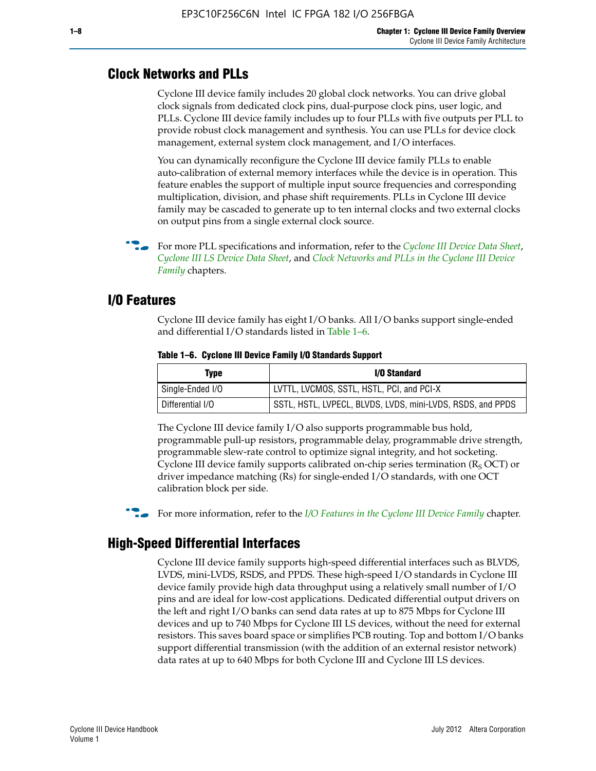### **Clock Networks and PLLs**

Cyclone III device family includes 20 global clock networks. You can drive global clock signals from dedicated clock pins, dual-purpose clock pins, user logic, and PLLs. Cyclone III device family includes up to four PLLs with five outputs per PLL to provide robust clock management and synthesis. You can use PLLs for device clock management, external system clock management, and I/O interfaces.

You can dynamically reconfigure the Cyclone III device family PLLs to enable auto-calibration of external memory interfaces while the device is in operation. This feature enables the support of multiple input source frequencies and corresponding multiplication, division, and phase shift requirements. PLLs in Cyclone III device family may be cascaded to generate up to ten internal clocks and two external clocks on output pins from a single external clock source.

**For more PLL specifications and information, refer to the** *[Cyclone III Device Data Sheet](http://www.altera.com/literature/hb/cyc3/cyc3_ciii52001.pdf)***,** *[Cyclone III LS Device Data Sheet](http://www.altera.com/literature/hb/cyc3/cyc3_ciii52002.pdf)*, and *[Clock Networks and PLLs in the Cyclone III Device](http://www.altera.com/literature/hb/cyc3/cyc3_ciii51006.pdf)  [Family](http://www.altera.com/literature/hb/cyc3/cyc3_ciii51006.pdf)* chapters.

#### **I/O Features**

Cyclone III device family has eight I/O banks. All I/O banks support single-ended and differential I/O standards listed in Table 1–6.

| Type             | <b>I/O Standard</b>                                        |
|------------------|------------------------------------------------------------|
| Single-Ended I/O | LVTTL, LVCMOS, SSTL, HSTL, PCI, and PCI-X                  |
| Differential I/O | SSTL, HSTL, LVPECL, BLVDS, LVDS, mini-LVDS, RSDS, and PPDS |

**Table 1–6. Cyclone III Device Family I/O Standards Support** 

The Cyclone III device family I/O also supports programmable bus hold, programmable pull-up resistors, programmable delay, programmable drive strength, programmable slew-rate control to optimize signal integrity, and hot socketing. Cyclone III device family supports calibrated on-chip series termination ( $R_S$  OCT) or driver impedance matching (Rs) for single-ended I/O standards, with one OCT calibration block per side.

For more information, refer to the *[I/O Features in the Cyclone III Device Family](http://www.altera.com/literature/hb/cyc3/cyc3_ciii51007.pdf)* chapter.

## **High-Speed Differential Interfaces**

Cyclone III device family supports high-speed differential interfaces such as BLVDS, LVDS, mini-LVDS, RSDS, and PPDS. These high-speed I/O standards in Cyclone III device family provide high data throughput using a relatively small number of I/O pins and are ideal for low-cost applications. Dedicated differential output drivers on the left and right I/O banks can send data rates at up to 875 Mbps for Cyclone III devices and up to 740 Mbps for Cyclone III LS devices, without the need for external resistors. This saves board space or simplifies PCB routing. Top and bottom I/O banks support differential transmission (with the addition of an external resistor network) data rates at up to 640 Mbps for both Cyclone III and Cyclone III LS devices.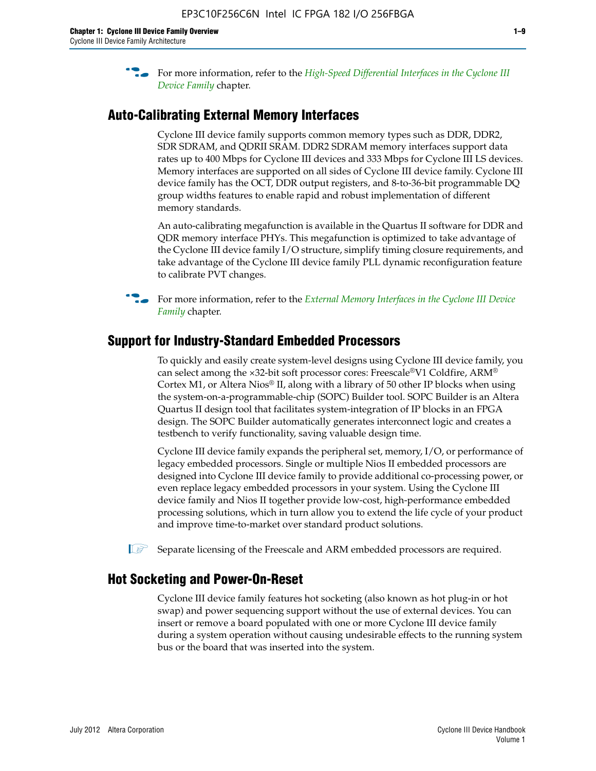**For more information, refer to the** *High-Speed Differential Interfaces in the Cyclone III* $\overline{a}$ *[Device Family](http://www.altera.com/literature/hb/cyc3/cyc3_ciii51008.pdf)* chapter.

## **Auto-Calibrating External Memory Interfaces**

Cyclone III device family supports common memory types such as DDR, DDR2, SDR SDRAM, and QDRII SRAM. DDR2 SDRAM memory interfaces support data rates up to 400 Mbps for Cyclone III devices and 333 Mbps for Cyclone III LS devices. Memory interfaces are supported on all sides of Cyclone III device family. Cyclone III device family has the OCT, DDR output registers, and 8-to-36-bit programmable DQ group widths features to enable rapid and robust implementation of different memory standards.

An auto-calibrating megafunction is available in the Quartus II software for DDR and QDR memory interface PHYs. This megafunction is optimized to take advantage of the Cyclone III device family I/O structure, simplify timing closure requirements, and take advantage of the Cyclone III device family PLL dynamic reconfiguration feature to calibrate PVT changes.

**For more information, refer to the** *External Memory Interfaces in the Cyclone III Device [Family](http://www.altera.com/literature/hb/cyc3/cyc3_ciii51009.pdf)* chapter.

### **Support for Industry-Standard Embedded Processors**

To quickly and easily create system-level designs using Cyclone III device family, you can select among the ×32-bit soft processor cores: Freescale®V1 Coldfire, ARM® Cortex M1, or Altera Nios® II, along with a library of 50 other IP blocks when using the system-on-a-programmable-chip (SOPC) Builder tool. SOPC Builder is an Altera Quartus II design tool that facilitates system-integration of IP blocks in an FPGA design. The SOPC Builder automatically generates interconnect logic and creates a testbench to verify functionality, saving valuable design time.

Cyclone III device family expands the peripheral set, memory, I/O, or performance of legacy embedded processors. Single or multiple Nios II embedded processors are designed into Cyclone III device family to provide additional co-processing power, or even replace legacy embedded processors in your system. Using the Cyclone III device family and Nios II together provide low-cost, high-performance embedded processing solutions, which in turn allow you to extend the life cycle of your product and improve time-to-market over standard product solutions.

 $\mathbb{I}$  Separate licensing of the Freescale and ARM embedded processors are required.

#### **Hot Socketing and Power-On-Reset**

Cyclone III device family features hot socketing (also known as hot plug-in or hot swap) and power sequencing support without the use of external devices. You can insert or remove a board populated with one or more Cyclone III device family during a system operation without causing undesirable effects to the running system bus or the board that was inserted into the system.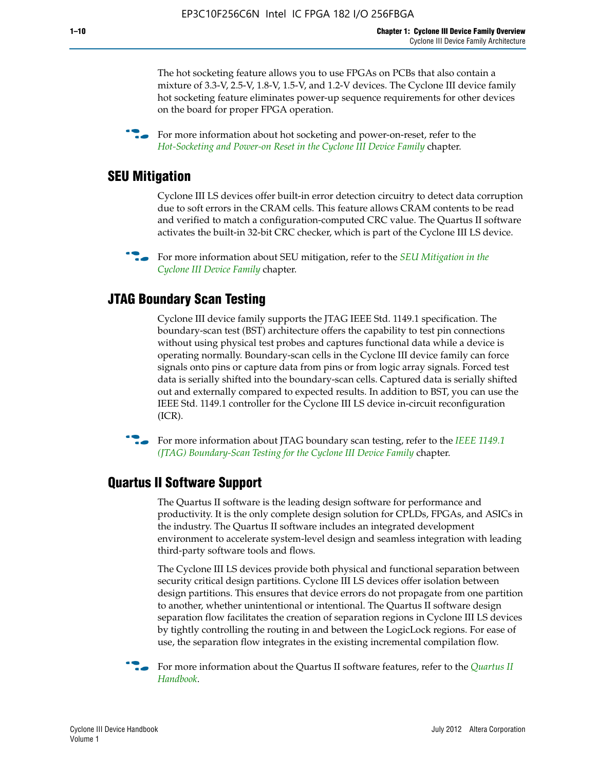The hot socketing feature allows you to use FPGAs on PCBs that also contain a mixture of 3.3-V, 2.5-V, 1.8-V, 1.5-V, and 1.2-V devices. The Cyclone III device family hot socketing feature eliminates power-up sequence requirements for other devices on the board for proper FPGA operation.

For more information about hot socketing and power-on-reset, refer to the *[Hot-Socketing and Power-on Reset in the Cyclone III Device Family](http://www.altera.com/literature/hb/cyc3/cyc3_ciii51011.pdf)* chapter.

#### **SEU Mitigation**

Cyclone III LS devices offer built-in error detection circuitry to detect data corruption due to soft errors in the CRAM cells. This feature allows CRAM contents to be read and verified to match a configuration-computed CRC value. The Quartus II software activates the built-in 32-bit CRC checker, which is part of the Cyclone III LS device.

**For more information about SEU mitigation, refer to the** *SEU Mitigation in the [Cyclone III Device Family](http://www.altera.com/literature/hb/cyc3/cyc3_ciii51013.pdf)* chapter.

#### **JTAG Boundary Scan Testing**

Cyclone III device family supports the JTAG IEEE Std. 1149.1 specification. The boundary-scan test (BST) architecture offers the capability to test pin connections without using physical test probes and captures functional data while a device is operating normally. Boundary-scan cells in the Cyclone III device family can force signals onto pins or capture data from pins or from logic array signals. Forced test data is serially shifted into the boundary-scan cells. Captured data is serially shifted out and externally compared to expected results. In addition to BST, you can use the IEEE Std. 1149.1 controller for the Cyclone III LS device in-circuit reconfiguration (ICR).

**f f**or more information about JTAG boundary scan testing, refer to the *IEEE* 1149.1 *[\(JTAG\) Boundary-Scan Testing for the Cyclone III Device Family](http://www.altera.com/literature/hb/cyc3/cyc3_ciii51014.pdf)* chapter.

#### **Quartus II Software Support**

The Quartus II software is the leading design software for performance and productivity. It is the only complete design solution for CPLDs, FPGAs, and ASICs in the industry. The Quartus II software includes an integrated development environment to accelerate system-level design and seamless integration with leading third-party software tools and flows.

The Cyclone III LS devices provide both physical and functional separation between security critical design partitions. Cyclone III LS devices offer isolation between design partitions. This ensures that device errors do not propagate from one partition to another, whether unintentional or intentional. The Quartus II software design separation flow facilitates the creation of separation regions in Cyclone III LS devices by tightly controlling the routing in and between the LogicLock regions. For ease of use, the separation flow integrates in the existing incremental compilation flow.

f For more information about the Quartus II software features, refer to the *[Quartus II](http://www.altera.com/literature/hb/qts/quartusii_handbook.pdf)  [Handbook](http://www.altera.com/literature/hb/qts/quartusii_handbook.pdf)*.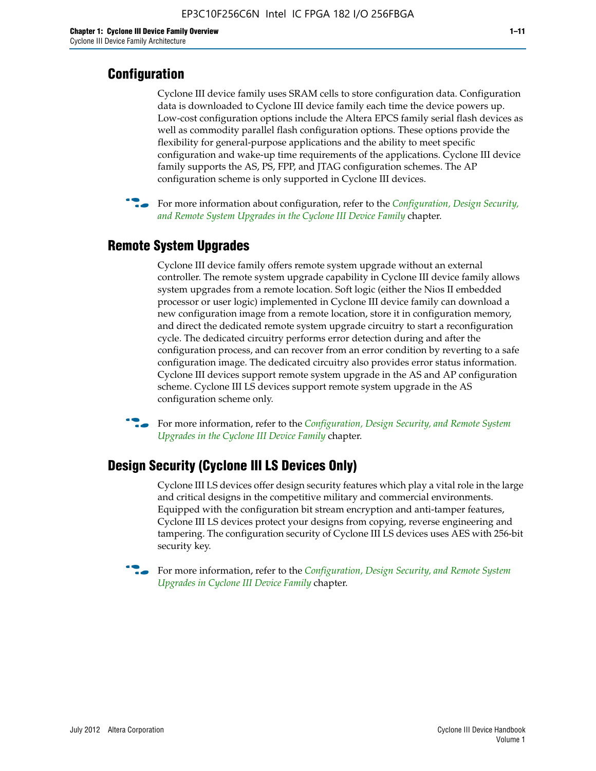# **Configuration**

Cyclone III device family uses SRAM cells to store configuration data. Configuration data is downloaded to Cyclone III device family each time the device powers up. Low-cost configuration options include the Altera EPCS family serial flash devices as well as commodity parallel flash configuration options. These options provide the flexibility for general-purpose applications and the ability to meet specific configuration and wake-up time requirements of the applications. Cyclone III device family supports the AS, PS, FPP, and JTAG configuration schemes. The AP configuration scheme is only supported in Cyclone III devices.



f For more information about configuration, refer to the *[Configuration, Design Security,](http://www.altera.com/literature/hb/cyc3/cyc3_ciii51016.pdf)  [and Remote System Upgrades in the Cyclone III Device Family](http://www.altera.com/literature/hb/cyc3/cyc3_ciii51016.pdf)* chapter.

# **Remote System Upgrades**

Cyclone III device family offers remote system upgrade without an external controller. The remote system upgrade capability in Cyclone III device family allows system upgrades from a remote location. Soft logic (either the Nios II embedded processor or user logic) implemented in Cyclone III device family can download a new configuration image from a remote location, store it in configuration memory, and direct the dedicated remote system upgrade circuitry to start a reconfiguration cycle. The dedicated circuitry performs error detection during and after the configuration process, and can recover from an error condition by reverting to a safe configuration image. The dedicated circuitry also provides error status information. Cyclone III devices support remote system upgrade in the AS and AP configuration scheme. Cyclone III LS devices support remote system upgrade in the AS configuration scheme only.

**For more information, refer to the** *Configuration, Design Security, and Remote System [Upgrades in the Cyclone III Device Family](http://www.altera.com/literature/hb/cyc3/cyc3_ciii51016.pdf)* chapter.

## **Design Security (Cyclone III LS Devices Only)**

Cyclone III LS devices offer design security features which play a vital role in the large and critical designs in the competitive military and commercial environments. Equipped with the configuration bit stream encryption and anti-tamper features, Cyclone III LS devices protect your designs from copying, reverse engineering and tampering. The configuration security of Cyclone III LS devices uses AES with 256-bit security key.

f For more information, refer to the *[Configuration, Design Security, and Remote System](http://www.altera.com/literature/hb/cyc3/cyc3_ciii51016.pdf)  [Upgrades in Cyclone III Device Family](http://www.altera.com/literature/hb/cyc3/cyc3_ciii51016.pdf)* chapter.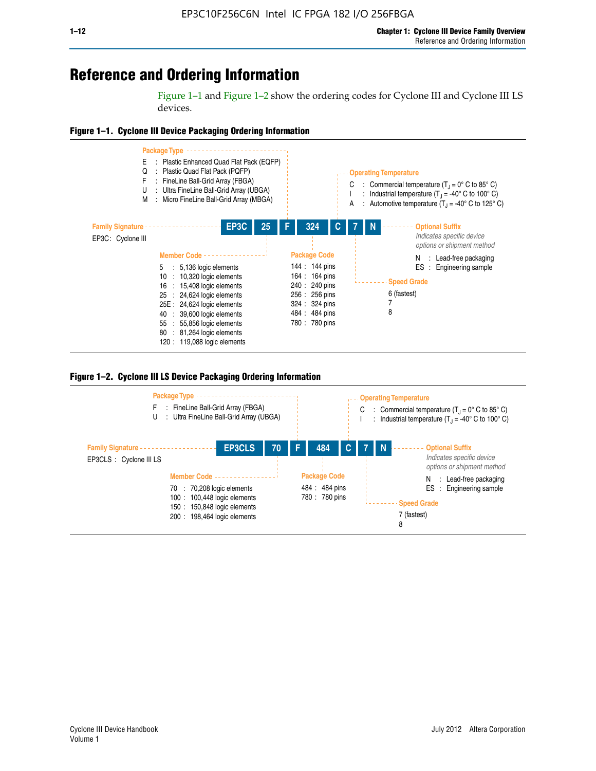# **Reference and Ordering Information**

Figure 1–1 and Figure 1–2 show the ordering codes for Cyclone III and Cyclone III LS devices.







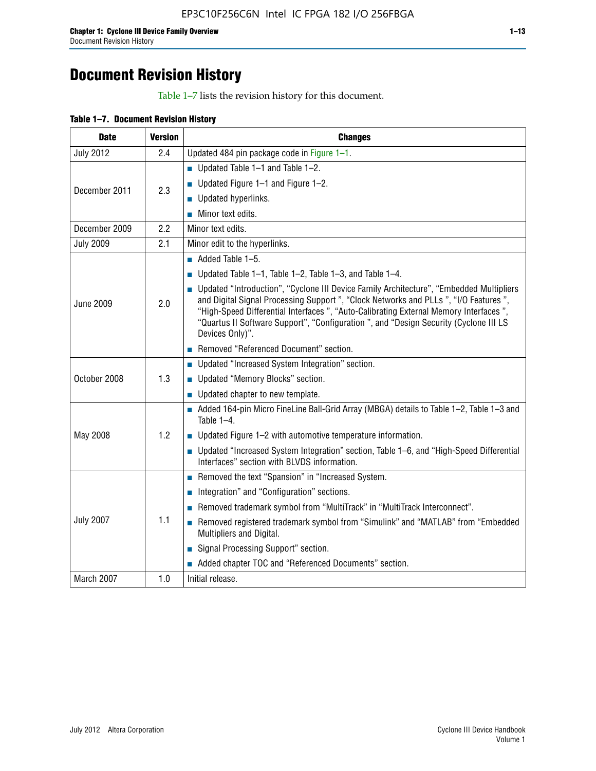# **Document Revision History**

Table 1–7 lists the revision history for this document.

| <b>Date</b>      | <b>Version</b> | <b>Changes</b>                                                                                                                                                                                                                                                                                                                                                                          |
|------------------|----------------|-----------------------------------------------------------------------------------------------------------------------------------------------------------------------------------------------------------------------------------------------------------------------------------------------------------------------------------------------------------------------------------------|
| <b>July 2012</b> | 2.4            | Updated 484 pin package code in Figure 1-1.                                                                                                                                                                                                                                                                                                                                             |
|                  |                | ■ Updated Table $1-1$ and Table $1-2$ .                                                                                                                                                                                                                                                                                                                                                 |
| December 2011    | 2.3            | ■ Updated Figure $1-1$ and Figure $1-2$ .                                                                                                                                                                                                                                                                                                                                               |
|                  |                | Updated hyperlinks.                                                                                                                                                                                                                                                                                                                                                                     |
|                  |                | Minor text edits.                                                                                                                                                                                                                                                                                                                                                                       |
| December 2009    | 2.2            | Minor text edits.                                                                                                                                                                                                                                                                                                                                                                       |
| <b>July 2009</b> | 2.1            | Minor edit to the hyperlinks.                                                                                                                                                                                                                                                                                                                                                           |
|                  |                | $\blacksquare$ Added Table 1-5.                                                                                                                                                                                                                                                                                                                                                         |
|                  |                | ■ Updated Table 1–1, Table 1–2, Table 1–3, and Table 1–4.                                                                                                                                                                                                                                                                                                                               |
| <b>June 2009</b> | 2.0            | • Updated "Introduction", "Cyclone III Device Family Architecture", "Embedded Multipliers<br>and Digital Signal Processing Support ", "Clock Networks and PLLs ", "I/O Features ",<br>"High-Speed Differential Interfaces ", "Auto-Calibrating External Memory Interfaces",<br>"Quartus II Software Support", "Configuration ", and "Design Security (Cyclone III LS<br>Devices Only)". |
|                  |                | Removed "Referenced Document" section.                                                                                                                                                                                                                                                                                                                                                  |
|                  |                | • Updated "Increased System Integration" section.                                                                                                                                                                                                                                                                                                                                       |
| October 2008     | 1.3            | Updated "Memory Blocks" section.                                                                                                                                                                                                                                                                                                                                                        |
|                  |                | • Updated chapter to new template.                                                                                                                                                                                                                                                                                                                                                      |
|                  |                | Added 164-pin Micro FineLine Ball-Grid Array (MBGA) details to Table 1-2, Table 1-3 and<br>Table $1-4$ .                                                                                                                                                                                                                                                                                |
| May 2008         | 1.2            | $\blacksquare$ Updated Figure 1-2 with automotive temperature information.                                                                                                                                                                                                                                                                                                              |
|                  |                | • Updated "Increased System Integration" section, Table 1-6, and "High-Speed Differential<br>Interfaces" section with BLVDS information.                                                                                                                                                                                                                                                |
|                  |                | Removed the text "Spansion" in "Increased System.                                                                                                                                                                                                                                                                                                                                       |
|                  |                | Integration" and "Configuration" sections.                                                                                                                                                                                                                                                                                                                                              |
|                  |                | Removed trademark symbol from "MultiTrack" in "MultiTrack Interconnect".                                                                                                                                                                                                                                                                                                                |
| <b>July 2007</b> | 1.1            | Removed registered trademark symbol from "Simulink" and "MATLAB" from "Embedded<br>Multipliers and Digital.                                                                                                                                                                                                                                                                             |
|                  |                | Signal Processing Support" section.                                                                                                                                                                                                                                                                                                                                                     |
|                  |                | Added chapter TOC and "Referenced Documents" section.                                                                                                                                                                                                                                                                                                                                   |
| March 2007       | 1.0            | Initial release.                                                                                                                                                                                                                                                                                                                                                                        |